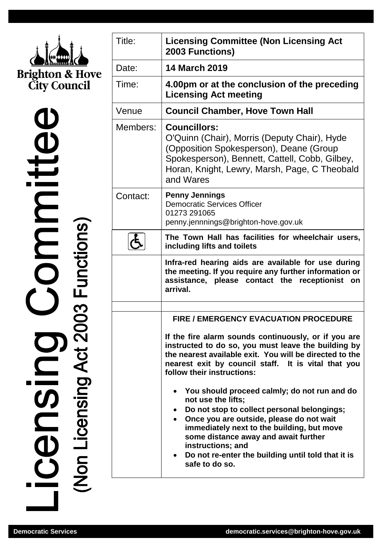

 $\mathbf{Q}$ icensing Committe

| Title:   | <b>Licensing Committee (Non Licensing Act</b><br>2003 Functions)                                                                                                                                                                                                                                                                                     |
|----------|------------------------------------------------------------------------------------------------------------------------------------------------------------------------------------------------------------------------------------------------------------------------------------------------------------------------------------------------------|
| Date:    | <b>14 March 2019</b>                                                                                                                                                                                                                                                                                                                                 |
| Time:    | 4.00pm or at the conclusion of the preceding<br><b>Licensing Act meeting</b>                                                                                                                                                                                                                                                                         |
| Venue    | <b>Council Chamber, Hove Town Hall</b>                                                                                                                                                                                                                                                                                                               |
| Members: | <b>Councillors:</b><br>O'Quinn (Chair), Morris (Deputy Chair), Hyde<br>(Opposition Spokesperson), Deane (Group<br>Spokesperson), Bennett, Cattell, Cobb, Gilbey,<br>Horan, Knight, Lewry, Marsh, Page, C Theobald<br>and Wares                                                                                                                       |
| Contact: | <b>Penny Jennings</b><br><b>Democratic Services Officer</b><br>01273 291065<br>penny.jennnings@brighton-hove.gov.uk                                                                                                                                                                                                                                  |
|          | The Town Hall has facilities for wheelchair users,<br>including lifts and toilets                                                                                                                                                                                                                                                                    |
|          | Infra-red hearing aids are available for use during<br>the meeting. If you require any further information or<br>assistance, please contact the receptionist<br>on<br>arrival.                                                                                                                                                                       |
|          | <b>FIRE / EMERGENCY EVACUATION PROCEDURE</b>                                                                                                                                                                                                                                                                                                         |
|          | If the fire alarm sounds continuously, or if you are<br>instructed to do so, you must leave the building by<br>the nearest available exit. You will be directed to the<br>nearest exit by council staff. It is vital that you<br>follow their instructions:                                                                                          |
|          | • You should proceed calmly; do not run and do<br>not use the lifts;<br>Do not stop to collect personal belongings;<br>Once you are outside, please do not wait<br>immediately next to the building, but move<br>some distance away and await further<br>instructions; and<br>• Do not re-enter the building until told that it is<br>safe to do so. |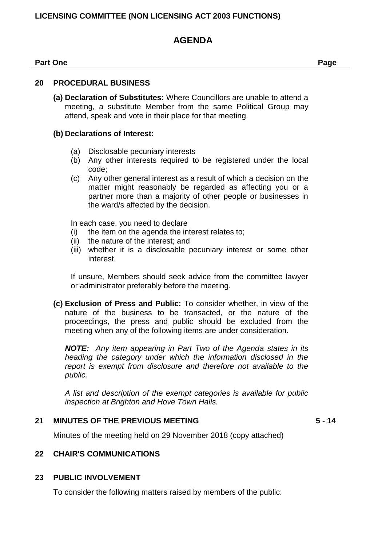# **LICENSING COMMITTEE (NON LICENSING ACT 2003 FUNCTIONS)**

# **AGENDA**

#### **Part One Page**

#### **20 PROCEDURAL BUSINESS**

**(a) Declaration of Substitutes:** Where Councillors are unable to attend a meeting, a substitute Member from the same Political Group may attend, speak and vote in their place for that meeting.

### **(b) Declarations of Interest:**

- (a) Disclosable pecuniary interests
- (b) Any other interests required to be registered under the local code;
- (c) Any other general interest as a result of which a decision on the matter might reasonably be regarded as affecting you or a partner more than a majority of other people or businesses in the ward/s affected by the decision.

In each case, you need to declare

- (i) the item on the agenda the interest relates to;
- (ii) the nature of the interest; and
- (iii) whether it is a disclosable pecuniary interest or some other interest.

If unsure, Members should seek advice from the committee lawyer or administrator preferably before the meeting.

**(c) Exclusion of Press and Public:** To consider whether, in view of the nature of the business to be transacted, or the nature of the proceedings, the press and public should be excluded from the meeting when any of the following items are under consideration.

*NOTE: Any item appearing in Part Two of the Agenda states in its heading the category under which the information disclosed in the report is exempt from disclosure and therefore not available to the public.*

*A list and description of the exempt categories is available for public inspection at Brighton and Hove Town Halls.*

#### **21 MINUTES OF THE PREVIOUS MEETING 5 - 14**

Minutes of the meeting held on 29 November 2018 (copy attached)

#### **22 CHAIR'S COMMUNICATIONS**

#### **23 PUBLIC INVOLVEMENT**

To consider the following matters raised by members of the public: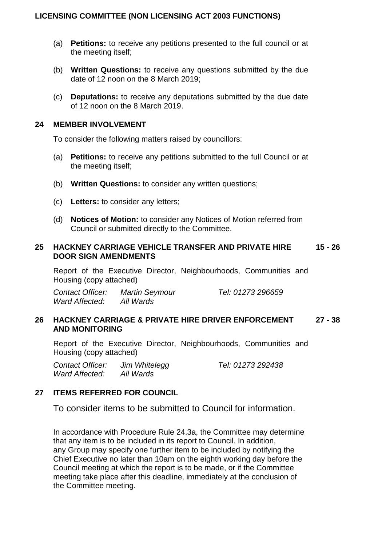## **LICENSING COMMITTEE (NON LICENSING ACT 2003 FUNCTIONS)**

- (a) **Petitions:** to receive any petitions presented to the full council or at the meeting itself;
- (b) **Written Questions:** to receive any questions submitted by the due date of 12 noon on the 8 March 2019;
- (c) **Deputations:** to receive any deputations submitted by the due date of 12 noon on the 8 March 2019.

### **24 MEMBER INVOLVEMENT**

To consider the following matters raised by councillors:

- (a) **Petitions:** to receive any petitions submitted to the full Council or at the meeting itself;
- (b) **Written Questions:** to consider any written questions;
- (c) **Letters:** to consider any letters;
- (d) **Notices of Motion:** to consider any Notices of Motion referred from Council or submitted directly to the Committee.

#### **25 HACKNEY CARRIAGE VEHICLE TRANSFER AND PRIVATE HIRE DOOR SIGN AMENDMENTS 15 - 26**

Report of the Executive Director, Neighbourhoods, Communities and Housing (copy attached)

*Contact Officer: Martin Seymour Tel: 01273 296659 Ward Affected: All Wards*

#### **26 HACKNEY CARRIAGE & PRIVATE HIRE DRIVER ENFORCEMENT AND MONITORING 27 - 38**

Report of the Executive Director, Neighbourhoods, Communities and Housing (copy attached)

*Contact Officer: Jim Whitelegg Tel: 01273 292438 Ward Affected: All Wards*

## **27 ITEMS REFERRED FOR COUNCIL**

To consider items to be submitted to Council for information.

In accordance with Procedure Rule 24.3a, the Committee may determine that any item is to be included in its report to Council. In addition, any Group may specify one further item to be included by notifying the Chief Executive no later than 10am on the eighth working day before the Council meeting at which the report is to be made, or if the Committee meeting take place after this deadline, immediately at the conclusion of the Committee meeting.